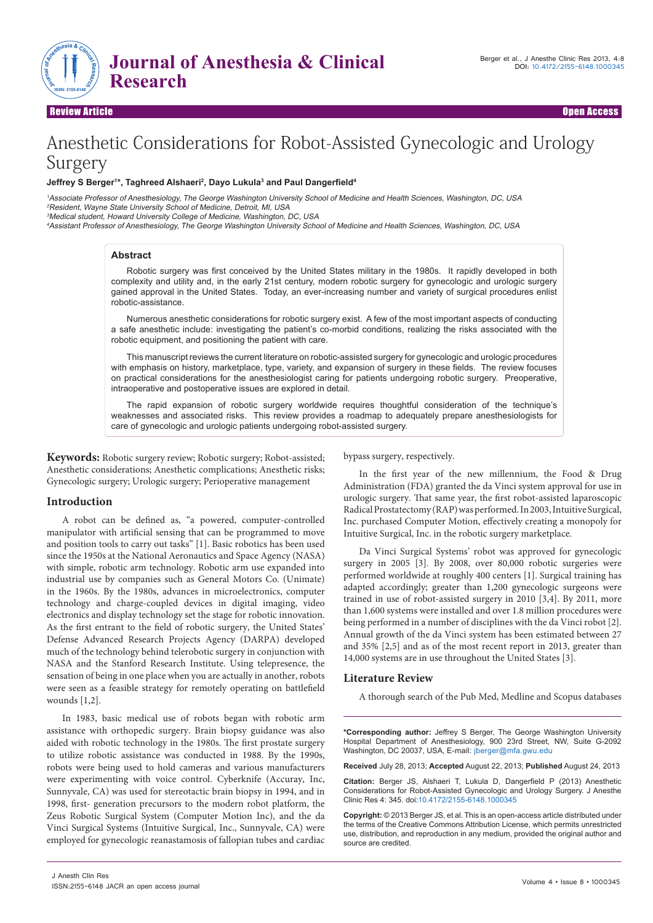

Review Article Open Access

# Anesthetic Considerations for Robot-Assisted Gynecologic and Urology Surgery

## **Jeffrey S Berger1 \*, Taghreed Alshaeri2 , Dayo Lukula3 and Paul Dangerfield<sup>4</sup>**

<sup>1</sup>Associate Professor of Anesthesiology, The George Washington University School of Medicine and Health Sciences, Washington, DC, USA <sup>2</sup>Resident, Wayne State University School of Medicine, Detroit, MI, USA <sup>3</sup>Medical student, Howard University College of Medicine, Washington, DC, USA

<sup>4</sup>Assistant Professor of Anesthesiology, The George Washington University School of Medicine and Health Sciences, Washington, DC, USA

## **Abstract**

Robotic surgery was first conceived by the United States military in the 1980s. It rapidly developed in both complexity and utility and, in the early 21st century, modern robotic surgery for gynecologic and urologic surgery gained approval in the United States. Today, an ever-increasing number and variety of surgical procedures enlist robotic-assistance.

Numerous anesthetic considerations for robotic surgery exist. A few of the most important aspects of conducting a safe anesthetic include: investigating the patient's co-morbid conditions, realizing the risks associated with the robotic equipment, and positioning the patient with care.

This manuscript reviews the current literature on robotic-assisted surgery for gynecologic and urologic procedures with emphasis on history, marketplace, type, variety, and expansion of surgery in these fields. The review focuses on practical considerations for the anesthesiologist caring for patients undergoing robotic surgery. Preoperative, intraoperative and postoperative issues are explored in detail.

The rapid expansion of robotic surgery worldwide requires thoughtful consideration of the technique's weaknesses and associated risks. This review provides a roadmap to adequately prepare anesthesiologists for care of gynecologic and urologic patients undergoing robot-assisted surgery.

**Keywords:** Robotic surgery review; Robotic surgery; Robot-assisted; Anesthetic considerations; Anesthetic complications; Anesthetic risks; Gynecologic surgery; Urologic surgery; Perioperative management

## **Introduction**

A robot can be defined as, "a powered, computer-controlled manipulator with artificial sensing that can be programmed to move and position tools to carry out tasks" [1]. Basic robotics has been used since the 1950s at the National Aeronautics and Space Agency (NASA) with simple, robotic arm technology. Robotic arm use expanded into industrial use by companies such as General Motors Co. (Unimate) in the 1960s. By the 1980s, advances in microelectronics, computer technology and charge-coupled devices in digital imaging, video electronics and display technology set the stage for robotic innovation. As the first entrant to the field of robotic surgery, the United States' Defense Advanced Research Projects Agency (DARPA) developed much of the technology behind telerobotic surgery in conjunction with NASA and the Stanford Research Institute. Using telepresence, the sensation of being in one place when you are actually in another, robots were seen as a feasible strategy for remotely operating on battlefield wounds [1,2].

In 1983, basic medical use of robots began with robotic arm assistance with orthopedic surgery. Brain biopsy guidance was also aided with robotic technology in the 1980s. The first prostate surgery to utilize robotic assistance was conducted in 1988. By the 1990s, robots were being used to hold cameras and various manufacturers were experimenting with voice control. Cyberknife (Accuray, Inc, Sunnyvale, CA) was used for stereotactic brain biopsy in 1994, and in 1998, first- generation precursors to the modern robot platform, the Zeus Robotic Surgical System (Computer Motion Inc), and the da Vinci Surgical Systems (Intuitive Surgical, Inc., Sunnyvale, CA) were employed for gynecologic reanastamosis of fallopian tubes and cardiac bypass surgery, respectively.

In the first year of the new millennium, the Food & Drug Administration (FDA) granted the da Vinci system approval for use in urologic surgery. That same year, the first robot-assisted laparoscopic Radical Prostatectomy (RAP) was performed. In 2003, Intuitive Surgical, Inc. purchased Computer Motion, effectively creating a monopoly for Intuitive Surgical, Inc. in the robotic surgery marketplace.

Da Vinci Surgical Systems' robot was approved for gynecologic surgery in 2005 [3]. By 2008, over 80,000 robotic surgeries were performed worldwide at roughly 400 centers [1]. Surgical training has adapted accordingly; greater than 1,200 gynecologic surgeons were trained in use of robot-assisted surgery in 2010 [3,4]. By 2011, more than 1,600 systems were installed and over 1.8 million procedures were being performed in a number of disciplines with the da Vinci robot [2]. Annual growth of the da Vinci system has been estimated between 27 and 35% [2,5] and as of the most recent report in 2013, greater than 14,000 systems are in use throughout the United States [3].

## **Literature Review**

A thorough search of the Pub Med, Medline and Scopus databases

**\*Corresponding author:** Jeffrey S Berger, The George Washington University Hospital Department of Anesthesiology, 900 23rd Street, NW, Suite G-2092 Washington, DC 20037, USA, E-mail: jberger@mfa.gwu.edu

**Received** July 28, 2013; **Accepted** August 22, 2013; **Published** August 24, 2013

**Citation:** Berger JS, Alshaeri T, Lukula D, Dangerfield P (2013) Anesthetic Considerations for Robot-Assisted Gynecologic and Urology Surgery. J Anesthe Clinic Res 4: 345. doi:10.4172/2155-6148.1000345

**Copyright:** © 2013 Berger JS, et al. This is an open-access article distributed under the terms of the Creative Commons Attribution License, which permits unrestricted use, distribution, and reproduction in any medium, provided the original author and source are credited.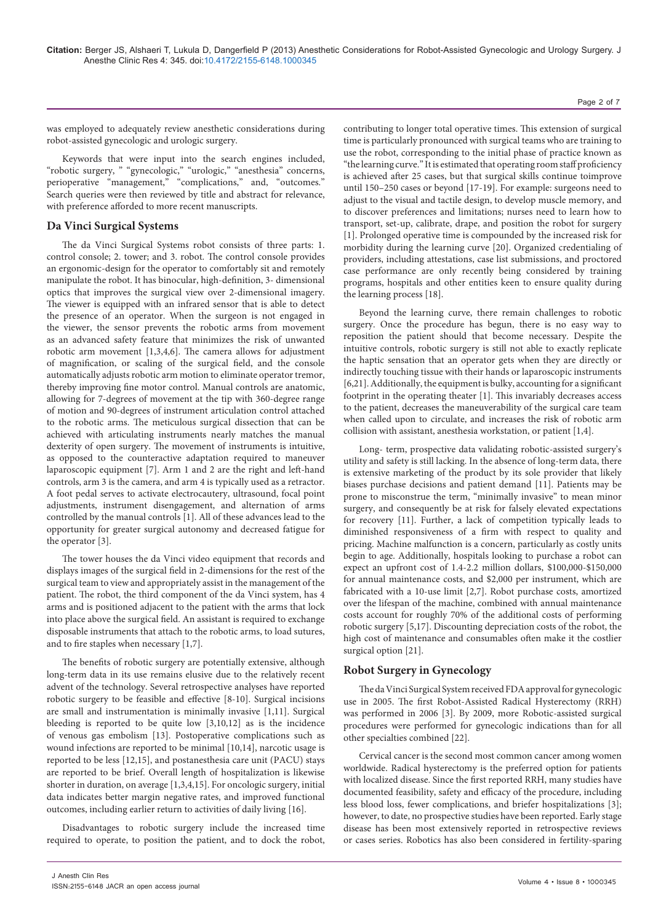was employed to adequately review anesthetic considerations during robot-assisted gynecologic and urologic surgery.

Keywords that were input into the search engines included, "robotic surgery, " "gynecologic," "urologic," "anesthesia" concerns, perioperative "management," "complications," and, "outcomes." Search queries were then reviewed by title and abstract for relevance, with preference afforded to more recent manuscripts.

#### **Da Vinci Surgical Systems**

The da Vinci Surgical Systems robot consists of three parts: 1. control console; 2. tower; and 3. robot. The control console provides an ergonomic-design for the operator to comfortably sit and remotely manipulate the robot. It has binocular, high-definition, 3- dimensional optics that improves the surgical view over 2-dimensional imagery. The viewer is equipped with an infrared sensor that is able to detect the presence of an operator. When the surgeon is not engaged in the viewer, the sensor prevents the robotic arms from movement as an advanced safety feature that minimizes the risk of unwanted robotic arm movement [1,3,4,6]. The camera allows for adjustment of magnification, or scaling of the surgical field, and the console automatically adjusts robotic arm motion to eliminate operator tremor, thereby improving fine motor control. Manual controls are anatomic, allowing for 7-degrees of movement at the tip with 360-degree range of motion and 90-degrees of instrument articulation control attached to the robotic arms. The meticulous surgical dissection that can be achieved with articulating instruments nearly matches the manual dexterity of open surgery. The movement of instruments is intuitive, as opposed to the counteractive adaptation required to maneuver laparoscopic equipment [7]. Arm 1 and 2 are the right and left-hand controls, arm 3 is the camera, and arm 4 is typically used as a retractor. A foot pedal serves to activate electrocautery, ultrasound, focal point adjustments, instrument disengagement, and alternation of arms controlled by the manual controls [1]. All of these advances lead to the opportunity for greater surgical autonomy and decreased fatigue for the operator [3].

The tower houses the da Vinci video equipment that records and displays images of the surgical field in 2-dimensions for the rest of the surgical team to view and appropriately assist in the management of the patient. The robot, the third component of the da Vinci system, has 4 arms and is positioned adjacent to the patient with the arms that lock into place above the surgical field. An assistant is required to exchange disposable instruments that attach to the robotic arms, to load sutures, and to fire staples when necessary [1,7].

The benefits of robotic surgery are potentially extensive, although long-term data in its use remains elusive due to the relatively recent advent of the technology. Several retrospective analyses have reported robotic surgery to be feasible and effective [8-10]. Surgical incisions are small and instrumentation is minimally invasive [1,11]. Surgical bleeding is reported to be quite low [3,10,12] as is the incidence of venous gas embolism [13]. Postoperative complications such as wound infections are reported to be minimal [10,14], narcotic usage is reported to be less [12,15], and postanesthesia care unit (PACU) stays are reported to be brief. Overall length of hospitalization is likewise shorter in duration, on average [1,3,4,15]. For oncologic surgery, initial data indicates better margin negative rates, and improved functional outcomes, including earlier return to activities of daily living [16].

Disadvantages to robotic surgery include the increased time required to operate, to position the patient, and to dock the robot,

contributing to longer total operative times. This extension of surgical time is particularly pronounced with surgical teams who are training to use the robot, corresponding to the initial phase of practice known as "the learning curve." It is estimated that operating room staff proficiency is achieved after 25 cases, but that surgical skills continue toimprove until 150–250 cases or beyond [17-19]. For example: surgeons need to adjust to the visual and tactile design, to develop muscle memory, and to discover preferences and limitations; nurses need to learn how to transport, set-up, calibrate, drape, and position the robot for surgery [1]. Prolonged operative time is compounded by the increased risk for morbidity during the learning curve [20]. Organized credentialing of providers, including attestations, case list submissions, and proctored case performance are only recently being considered by training programs, hospitals and other entities keen to ensure quality during the learning process [18].

Beyond the learning curve, there remain challenges to robotic surgery. Once the procedure has begun, there is no easy way to reposition the patient should that become necessary. Despite the intuitive controls, robotic surgery is still not able to exactly replicate the haptic sensation that an operator gets when they are directly or indirectly touching tissue with their hands or laparoscopic instruments [6,21]. Additionally, the equipment is bulky, accounting for a significant footprint in the operating theater [1]. This invariably decreases access to the patient, decreases the maneuverability of the surgical care team when called upon to circulate, and increases the risk of robotic arm collision with assistant, anesthesia workstation, or patient [1,4].

Long- term, prospective data validating robotic-assisted surgery's utility and safety is still lacking. In the absence of long-term data, there is extensive marketing of the product by its sole provider that likely biases purchase decisions and patient demand [11]. Patients may be prone to misconstrue the term, "minimally invasive" to mean minor surgery, and consequently be at risk for falsely elevated expectations for recovery [11]. Further, a lack of competition typically leads to diminished responsiveness of a firm with respect to quality and pricing. Machine malfunction is a concern, particularly as costly units begin to age. Additionally, hospitals looking to purchase a robot can expect an upfront cost of 1.4-2.2 million dollars, \$100,000-\$150,000 for annual maintenance costs, and \$2,000 per instrument, which are fabricated with a 10-use limit [2,7]. Robot purchase costs, amortized over the lifespan of the machine, combined with annual maintenance costs account for roughly 70% of the additional costs of performing robotic surgery [5,17]. Discounting depreciation costs of the robot, the high cost of maintenance and consumables often make it the costlier surgical option [21].

## **Robot Surgery in Gynecology**

The da Vinci Surgical System received FDA approval for gynecologic use in 2005. The first Robot-Assisted Radical Hysterectomy (RRH) was performed in 2006 [3]. By 2009, more Robotic-assisted surgical procedures were performed for gynecologic indications than for all other specialties combined [22].

worldwide. Radical hysterectomy is the preferred option for patients with localized disease. Since the first reported RRH, many studies have documented feasibility, safety and efficacy of the procedure, including less blood loss, fewer complications, and briefer hospitalizations [3]; however, to date, no prospective studies have been reported. Early stage disease has been most extensively reported in retrospective reviews or cases series. Robotics has also been considered in fertility-sparing Cervical cancer is the second most common cancer among women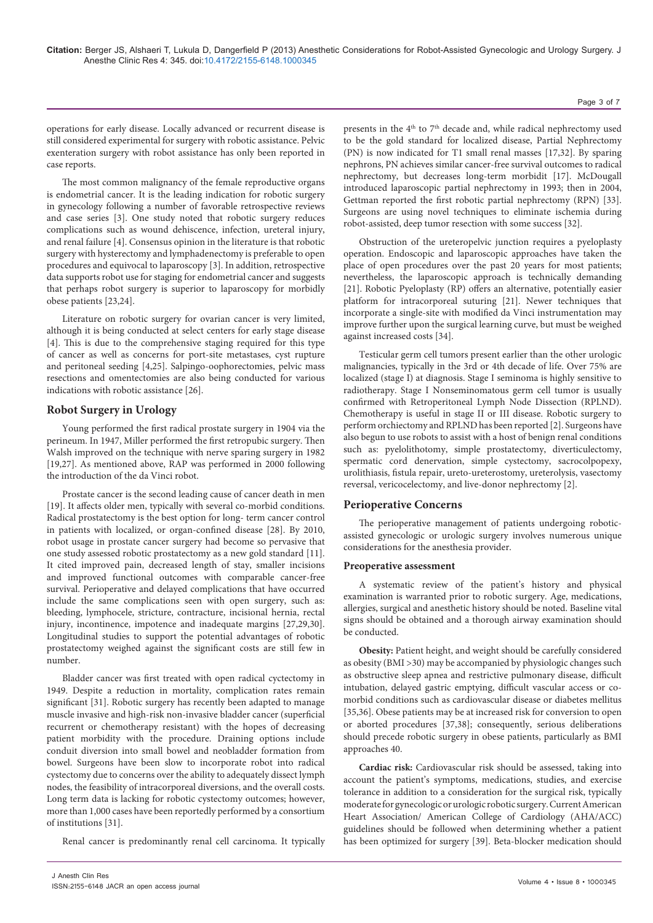operations for early disease. Locally advanced or recurrent disease is still considered experimental for surgery with robotic assistance. Pelvic exenteration surgery with robot assistance has only been reported in case reports.

The most common malignancy of the female reproductive organs is endometrial cancer. It is the leading indication for robotic surgery in gynecology following a number of favorable retrospective reviews and case series [3]. One study noted that robotic surgery reduces complications such as wound dehiscence, infection, ureteral injury, and renal failure [4]. Consensus opinion in the literature is that robotic surgery with hysterectomy and lymphadenectomy is preferable to open procedures and equivocal to laparoscopy [3]. In addition, retrospective data supports robot use for staging for endometrial cancer and suggests that perhaps robot surgery is superior to laparoscopy for morbidly obese patients [23,24].

Literature on robotic surgery for ovarian cancer is very limited, although it is being conducted at select centers for early stage disease [4]. This is due to the comprehensive staging required for this type of cancer as well as concerns for port-site metastases, cyst rupture and peritoneal seeding [4,25]. Salpingo-oophorectomies, pelvic mass resections and omentectomies are also being conducted for various indications with robotic assistance [26].

# **Robot Surgery in Urology**

Young performed the first radical prostate surgery in 1904 via the perineum. In 1947, Miller performed the first retropubic surgery. Then Walsh improved on the technique with nerve sparing surgery in 1982 [19,27]. As mentioned above, RAP was performed in 2000 following the introduction of the da Vinci robot.

Prostate cancer is the second leading cause of cancer death in men [19]. It affects older men, typically with several co-morbid conditions. Radical prostatectomy is the best option for long- term cancer control in patients with localized, or organ-confined disease [28]. By 2010, robot usage in prostate cancer surgery had become so pervasive that one study assessed robotic prostatectomy as a new gold standard [11]. It cited improved pain, decreased length of stay, smaller incisions and improved functional outcomes with comparable cancer-free survival. Perioperative and delayed complications that have occurred include the same complications seen with open surgery, such as: bleeding, lymphocele, stricture, contracture, incisional hernia, rectal injury, incontinence, impotence and inadequate margins [27,29,30]. Longitudinal studies to support the potential advantages of robotic prostatectomy weighed against the significant costs are still few in number.

Bladder cancer was first treated with open radical cyctectomy in 1949. Despite a reduction in mortality, complication rates remain significant [31]. Robotic surgery has recently been adapted to manage muscle invasive and high-risk non-invasive bladder cancer (superficial recurrent or chemotherapy resistant) with the hopes of decreasing patient morbidity with the procedure. Draining options include conduit diversion into small bowel and neobladder formation from bowel. Surgeons have been slow to incorporate robot into radical cystectomy due to concerns over the ability to adequately dissect lymph nodes, the feasibility of intracorporeal diversions, and the overall costs. Long term data is lacking for robotic cystectomy outcomes; however, more than 1,000 cases have been reportedly performed by a consortium of institutions [31].

Renal cancer is predominantly renal cell carcinoma. It typically

presents in the  $4<sup>th</sup>$  to  $7<sup>th</sup>$  decade and, while radical nephrectomy used to be the gold standard for localized disease, Partial Nephrectomy (PN) is now indicated for T1 small renal masses [17,32]. By sparing nephrons, PN achieves similar cancer-free survival outcomes to radical nephrectomy, but decreases long-term morbidit [17]. McDougall introduced laparoscopic partial nephrectomy in 1993; then in 2004, Gettman reported the first robotic partial nephrectomy (RPN) [33]. Surgeons are using novel techniques to eliminate ischemia during robot-assisted, deep tumor resection with some success [32].

Obstruction of the ureteropelvic junction requires a pyeloplasty operation. Endoscopic and laparoscopic approaches have taken the place of open procedures over the past 20 years for most patients; nevertheless, the laparoscopic approach is technically demanding [21]. Robotic Pyeloplasty (RP) offers an alternative, potentially easier platform for intracorporeal suturing [21]. Newer techniques that incorporate a single-site with modified da Vinci instrumentation may improve further upon the surgical learning curve, but must be weighed against increased costs [34].

Testicular germ cell tumors present earlier than the other urologic malignancies, typically in the 3rd or 4th decade of life. Over 75% are localized (stage I) at diagnosis. Stage I seminoma is highly sensitive to radiotherapy. Stage I Nonseminomatous germ cell tumor is usually confirmed with Retroperitoneal Lymph Node Dissection (RPLND). Chemotherapy is useful in stage II or III disease. Robotic surgery to perform orchiectomy and RPLND has been reported [2]. Surgeons have also begun to use robots to assist with a host of benign renal conditions such as: pyelolithotomy, simple prostatectomy, diverticulectomy, spermatic cord denervation, simple cystectomy, sacrocolpopexy, urolithiasis, fistula repair, ureto-ureterostomy, ureterolysis, vasectomy reversal, vericocelectomy, and live-donor nephrectomy [2].

# **Perioperative Concerns**

The perioperative management of patients undergoing roboticassisted gynecologic or urologic surgery involves numerous unique considerations for the anesthesia provider.

#### **Preoperative assessment**

A systematic review of the patient's history and physical examination is warranted prior to robotic surgery. Age, medications, allergies, surgical and anesthetic history should be noted. Baseline vital signs should be obtained and a thorough airway examination should be conducted.

**Obesity:** Patient height, and weight should be carefully considered as obesity (BMI >30) may be accompanied by physiologic changes such as obstructive sleep apnea and restrictive pulmonary disease, difficult intubation, delayed gastric emptying, difficult vascular access or comorbid conditions such as cardiovascular disease or diabetes mellitus [35,36]. Obese patients may be at increased risk for conversion to open or aborted procedures [37,38]; consequently, serious deliberations should precede robotic surgery in obese patients, particularly as BMI approaches 40.

**Cardiac risk:** Cardiovascular risk should be assessed, taking into account the patient's symptoms, medications, studies, and exercise tolerance in addition to a consideration for the surgical risk, typically moderate for gynecologic or urologic robotic surgery. Current American Heart Association/ American College of Cardiology (AHA/ACC) guidelines should be followed when determining whether a patient has been optimized for surgery [39]. Beta-blocker medication should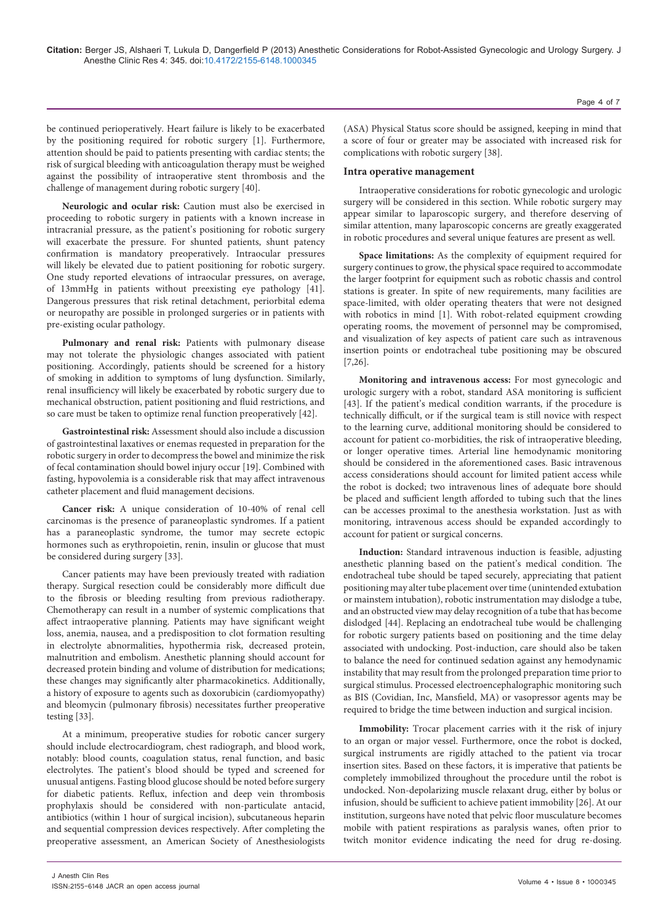be continued perioperatively. Heart failure is likely to be exacerbated by the positioning required for robotic surgery [1]. Furthermore, attention should be paid to patients presenting with cardiac stents; the risk of surgical bleeding with anticoagulation therapy must be weighed against the possibility of intraoperative stent thrombosis and the challenge of management during robotic surgery [40].

**Neurologic and ocular risk:** Caution must also be exercised in proceeding to robotic surgery in patients with a known increase in intracranial pressure, as the patient's positioning for robotic surgery will exacerbate the pressure. For shunted patients, shunt patency confirmation is mandatory preoperatively. Intraocular pressures will likely be elevated due to patient positioning for robotic surgery. One study reported elevations of intraocular pressures, on average, of 13mmHg in patients without preexisting eye pathology [41]. Dangerous pressures that risk retinal detachment, periorbital edema or neuropathy are possible in prolonged surgeries or in patients with pre-existing ocular pathology.

Pulmonary and renal risk: Patients with pulmonary disease may not tolerate the physiologic changes associated with patient positioning. Accordingly, patients should be screened for a history of smoking in addition to symptoms of lung dysfunction. Similarly, renal insufficiency will likely be exacerbated by robotic surgery due to mechanical obstruction, patient positioning and fluid restrictions, and so care must be taken to optimize renal function preoperatively [42].

**Gastrointestinal risk:** Assessment should also include a discussion of gastrointestinal laxatives or enemas requested in preparation for the robotic surgery in order to decompress the bowel and minimize the risk of fecal contamination should bowel injury occur [19]. Combined with fasting, hypovolemia is a considerable risk that may affect intravenous catheter placement and fluid management decisions.

**Cancer risk:** A unique consideration of 10-40% of renal cell carcinomas is the presence of paraneoplastic syndromes. If a patient has a paraneoplastic syndrome, the tumor may secrete ectopic hormones such as erythropoietin, renin, insulin or glucose that must be considered during surgery [33].

Cancer patients may have been previously treated with radiation therapy. Surgical resection could be considerably more difficult due to the fibrosis or bleeding resulting from previous radiotherapy. Chemotherapy can result in a number of systemic complications that affect intraoperative planning. Patients may have significant weight loss, anemia, nausea, and a predisposition to clot formation resulting in electrolyte abnormalities, hypothermia risk, decreased protein, malnutrition and embolism. Anesthetic planning should account for decreased protein binding and volume of distribution for medications; these changes may significantly alter pharmacokinetics. Additionally, a history of exposure to agents such as doxorubicin (cardiomyopathy) and bleomycin (pulmonary fibrosis) necessitates further preoperative testing [33].

At a minimum, preoperative studies for robotic cancer surgery should include electrocardiogram, chest radiograph, and blood work, notably: blood counts, coagulation status, renal function, and basic electrolytes. The patient's blood should be typed and screened for unusual antigens. Fasting blood glucose should be noted before surgery for diabetic patients. Reflux, infection and deep vein thrombosis prophylaxis should be considered with non-particulate antacid, antibiotics (within 1 hour of surgical incision), subcutaneous heparin and sequential compression devices respectively. After completing the preoperative assessment, an American Society of Anesthesiologists

(ASA) Physical Status score should be assigned, keeping in mind that a score of four or greater may be associated with increased risk for complications with robotic surgery [38].

## **Intra operative management**

Intraoperative considerations for robotic gynecologic and urologic surgery will be considered in this section. While robotic surgery may appear similar to laparoscopic surgery, and therefore deserving of similar attention, many laparoscopic concerns are greatly exaggerated in robotic procedures and several unique features are present as well.

**Space limitations:** As the complexity of equipment required for surgery continues to grow, the physical space required to accommodate the larger footprint for equipment such as robotic chassis and control stations is greater. In spite of new requirements, many facilities are space-limited, with older operating theaters that were not designed with robotics in mind [1]. With robot-related equipment crowding operating rooms, the movement of personnel may be compromised, and visualization of key aspects of patient care such as intravenous insertion points or endotracheal tube positioning may be obscured [7,26].

**Monitoring and intravenous access:** For most gynecologic and urologic surgery with a robot, standard ASA monitoring is sufficient [43]. If the patient's medical condition warrants, if the procedure is technically difficult, or if the surgical team is still novice with respect to the learning curve, additional monitoring should be considered to account for patient co-morbidities, the risk of intraoperative bleeding, or longer operative times. Arterial line hemodynamic monitoring should be considered in the aforementioned cases. Basic intravenous access considerations should account for limited patient access while the robot is docked; two intravenous lines of adequate bore should be placed and sufficient length afforded to tubing such that the lines can be accesses proximal to the anesthesia workstation. Just as with monitoring, intravenous access should be expanded accordingly to account for patient or surgical concerns.

**Induction:** Standard intravenous induction is feasible, adjusting anesthetic planning based on the patient's medical condition. The endotracheal tube should be taped securely, appreciating that patient positioning may alter tube placement over time (unintended extubation or mainstem intubation), robotic instrumentation may dislodge a tube, and an obstructed view may delay recognition of a tube that has become dislodged [44]. Replacing an endotracheal tube would be challenging for robotic surgery patients based on positioning and the time delay associated with undocking. Post-induction, care should also be taken to balance the need for continued sedation against any hemodynamic instability that may result from the prolonged preparation time prior to surgical stimulus. Processed electroencephalographic monitoring such as BIS (Covidian, Inc, Mansfield, MA) or vasopressor agents may be required to bridge the time between induction and surgical incision.

**Immobility:** Trocar placement carries with it the risk of injury to an organ or major vessel. Furthermore, once the robot is docked, surgical instruments are rigidly attached to the patient via trocar insertion sites. Based on these factors, it is imperative that patients be completely immobilized throughout the procedure until the robot is undocked. Non-depolarizing muscle relaxant drug, either by bolus or infusion, should be sufficient to achieve patient immobility [26]. At our institution, surgeons have noted that pelvic floor musculature becomes mobile with patient respirations as paralysis wanes, often prior to twitch monitor evidence indicating the need for drug re-dosing.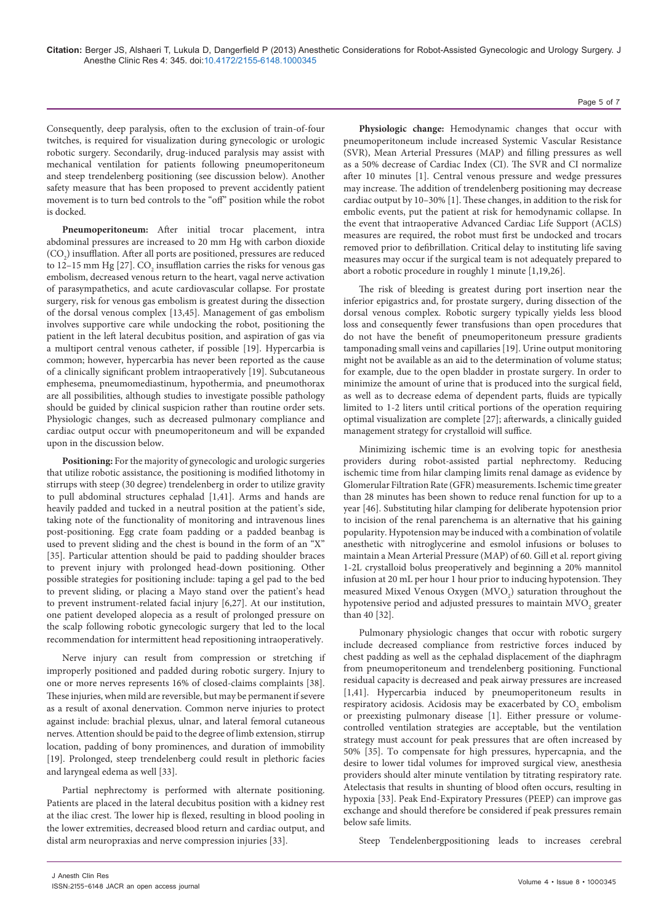Consequently, deep paralysis, often to the exclusion of train-of-four twitches, is required for visualization during gynecologic or urologic robotic surgery. Secondarily, drug-induced paralysis may assist with mechanical ventilation for patients following pneumoperitoneum and steep trendelenberg positioning (see discussion below). Another safety measure that has been proposed to prevent accidently patient movement is to turn bed controls to the "off" position while the robot is docked.

**Pneumoperitoneum:** After initial trocar placement, intra abdominal pressures are increased to 20 mm Hg with carbon dioxide  ${\rm (CO_2)}$  insufflation. After all ports are positioned, pressures are reduced to 12–15 mm Hg [27].  $\text{CO}_\text{2}$  insufflation carries the risks for venous gas embolism, decreased venous return to the heart, vagal nerve activation of parasympathetics, and acute cardiovascular collapse. For prostate surgery, risk for venous gas embolism is greatest during the dissection of the dorsal venous complex [13,45]. Management of gas embolism involves supportive care while undocking the robot, positioning the patient in the left lateral decubitus position, and aspiration of gas via a multiport central venous catheter, if possible [19]. Hypercarbia is common; however, hypercarbia has never been reported as the cause of a clinically significant problem intraoperatively [19]. Subcutaneous emphesema, pneumomediastinum, hypothermia, and pneumothorax are all possibilities, although studies to investigate possible pathology should be guided by clinical suspicion rather than routine order sets. Physiologic changes, such as decreased pulmonary compliance and cardiac output occur with pneumoperitoneum and will be expanded upon in the discussion below.

**Positioning:** For the majority of gynecologic and urologic surgeries that utilize robotic assistance, the positioning is modified lithotomy in stirrups with steep (30 degree) trendelenberg in order to utilize gravity to pull abdominal structures cephalad [1,41]. Arms and hands are heavily padded and tucked in a neutral position at the patient's side, taking note of the functionality of monitoring and intravenous lines post-positioning. Egg crate foam padding or a padded beanbag is used to prevent sliding and the chest is bound in the form of an "X" [35]. Particular attention should be paid to padding shoulder braces to prevent injury with prolonged head-down positioning. Other possible strategies for positioning include: taping a gel pad to the bed to prevent sliding, or placing a Mayo stand over the patient's head to prevent instrument-related facial injury [6,27]. At our institution, one patient developed alopecia as a result of prolonged pressure on the scalp following robotic gynecologic surgery that led to the local recommendation for intermittent head repositioning intraoperatively.

Nerve injury can result from compression or stretching if improperly positioned and padded during robotic surgery. Injury to one or more nerves represents 16% of closed-claims complaints [38]. These injuries, when mild are reversible, but may be permanent if severe as a result of axonal denervation. Common nerve injuries to protect against include: brachial plexus, ulnar, and lateral femoral cutaneous nerves. Attention should be paid to the degree of limb extension, stirrup location, padding of bony prominences, and duration of immobility [19]. Prolonged, steep trendelenberg could result in plethoric facies and laryngeal edema as well [33].

Partial nephrectomy is performed with alternate positioning. Patients are placed in the lateral decubitus position with a kidney rest at the iliac crest. The lower hip is flexed, resulting in blood pooling in the lower extremities, decreased blood return and cardiac output, and distal arm neuropraxias and nerve compression injuries [33].

**Physiologic change:** Hemodynamic changes that occur with pneumoperitoneum include increased Systemic Vascular Resistance (SVR), Mean Arterial Pressures (MAP) and filling pressures as well as a 50% decrease of Cardiac Index (CI). The SVR and CI normalize after 10 minutes [1]. Central venous pressure and wedge pressures may increase. The addition of trendelenberg positioning may decrease cardiac output by 10–30% [1]. These changes, in addition to the risk for embolic events, put the patient at risk for hemodynamic collapse. In the event that intraoperative Advanced Cardiac Life Support (ACLS) measures are required, the robot must first be undocked and trocars removed prior to defibrillation. Critical delay to instituting life saving measures may occur if the surgical team is not adequately prepared to abort a robotic procedure in roughly 1 minute [1,19,26].

The risk of bleeding is greatest during port insertion near the inferior epigastrics and, for prostate surgery, during dissection of the dorsal venous complex. Robotic surgery typically yields less blood loss and consequently fewer transfusions than open procedures that do not have the benefit of pneumoperitoneum pressure gradients tamponading small veins and capillaries [19]. Urine output monitoring might not be available as an aid to the determination of volume status; for example, due to the open bladder in prostate surgery. In order to minimize the amount of urine that is produced into the surgical field, as well as to decrease edema of dependent parts, fluids are typically limited to 1-2 liters until critical portions of the operation requiring optimal visualization are complete [27]; afterwards, a clinically guided management strategy for crystalloid will suffice.

Minimizing ischemic time is an evolving topic for anesthesia providers during robot-assisted partial nephrectomy. Reducing ischemic time from hilar clamping limits renal damage as evidence by Glomerular Filtration Rate (GFR) measurements. Ischemic time greater than 28 minutes has been shown to reduce renal function for up to a year [46]. Substituting hilar clamping for deliberate hypotension prior to incision of the renal parenchema is an alternative that his gaining popularity. Hypotension may be induced with a combination of volatile anesthetic with nitroglycerine and esmolol infusions or boluses to maintain a Mean Arterial Pressure (MAP) of 60. Gill et al. report giving 1-2L crystalloid bolus preoperatively and beginning a 20% mannitol infusion at 20 mL per hour 1 hour prior to inducing hypotension. They measured Mixed Venous Oxygen (MVO<sub>2</sub>) saturation throughout the hypotensive period and adjusted pressures to maintain  $\mathrm{MVO}_2$  greater than 40 [32].

Pulmonary physiologic changes that occur with robotic surgery include decreased compliance from restrictive forces induced by chest padding as well as the cephalad displacement of the diaphragm from pneumoperitoneum and trendelenberg positioning. Functional residual capacity is decreased and peak airway pressures are increased [1,41]. Hypercarbia induced by pneumoperitoneum results in respiratory acidosis. Acidosis may be exacerbated by  $\mathrm{CO}_2$  embolism or preexisting pulmonary disease [1]. Either pressure or volumecontrolled ventilation strategies are acceptable, but the ventilation strategy must account for peak pressures that are often increased by 50% [35]. To compensate for high pressures, hypercapnia, and the desire to lower tidal volumes for improved surgical view, anesthesia providers should alter minute ventilation by titrating respiratory rate. Atelectasis that results in shunting of blood often occurs, resulting in hypoxia [33]. Peak End-Expiratory Pressures (PEEP) can improve gas exchange and should therefore be considered if peak pressures remain below safe limits.

Steep Tendelenbergpositioning leads to increases cerebral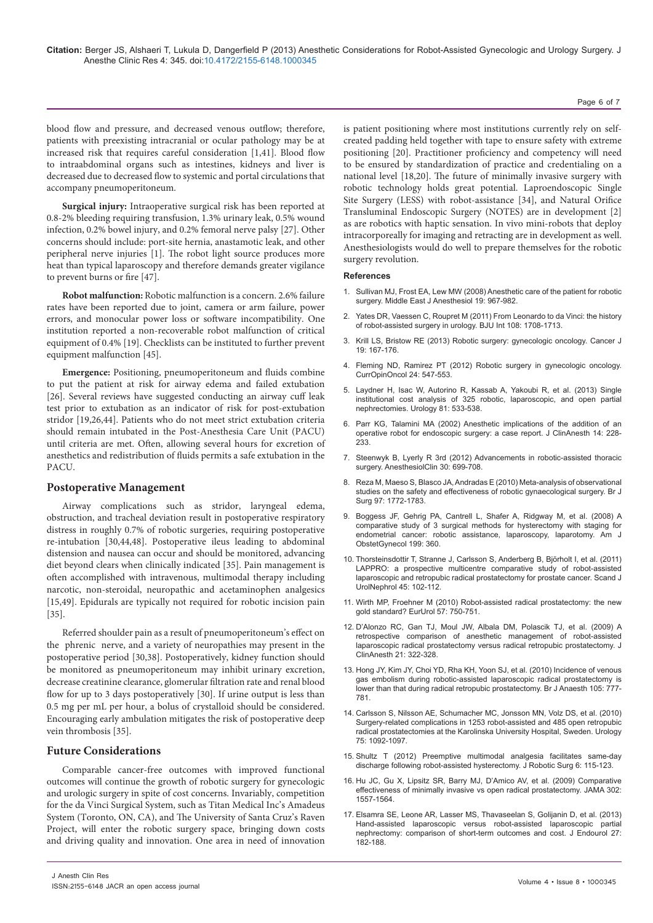blood flow and pressure, and decreased venous outflow; therefore, patients with preexisting intracranial or ocular pathology may be at increased risk that requires careful consideration [1,41]. Blood flow to intraabdominal organs such as intestines, kidneys and liver is decreased due to decreased flow to systemic and portal circulations that accompany pneumoperitoneum.

**Surgical injury:** Intraoperative surgical risk has been reported at 0.8-2% bleeding requiring transfusion, 1.3% urinary leak, 0.5% wound infection, 0.2% bowel injury, and 0.2% femoral nerve palsy [27]. Other concerns should include: port-site hernia, anastamotic leak, and other peripheral nerve injuries [1]. The robot light source produces more heat than typical laparoscopy and therefore demands greater vigilance to prevent burns or fire [47].

**Robot malfunction:** Robotic malfunction is a concern. 2.6% failure rates have been reported due to joint, camera or arm failure, power errors, and monocular power loss or software incompatibility. One institution reported a non-recoverable robot malfunction of critical equipment of 0.4% [19]. Checklists can be instituted to further prevent equipment malfunction [45].

**Emergence:**  Positioning, pneumoperitoneum and fluids combine to put the patient at risk for airway edema and failed extubation [26]. Several reviews have suggested conducting an airway cuff leak test prior to extubation as an indicator of risk for post-extubation stridor [19,26,44]. Patients who do not meet strict extubation criteria should remain intubated in the Post-Anesthesia Care Unit (PACU) until criteria are met. Often, allowing several hours for excretion of anesthetics and redistribution of fluids permits a safe extubation in the PACU.

## **Postoperative Management**

Airway complications such as stridor, laryngeal edema, obstruction, and tracheal deviation result in postoperative respiratory distress in roughly 0.7% of robotic surgeries, requiring postoperative re-intubation [30,44,48]. Postoperative ileus leading to abdominal distension and nausea can occur and should be monitored, advancing diet beyond clears when clinically indicated [35]. Pain management is often accomplished with intravenous, multimodal therapy including narcotic, non-steroidal, neuropathic and acetaminophen analgesics [15,49]. Epidurals are typically not required for robotic incision pain [35].

Referred shoulder pain as a result of pneumoperitoneum's effect on the phrenic nerve, and a variety of neuropathies may present in the postoperative period [30,38]. Postoperatively, kidney function should be monitored as pneumoperitoneum may inhibit urinary excretion, decrease creatinine clearance, glomerular filtration rate and renal blood flow for up to 3 days postoperatively [30]. If urine output is less than 0.5 mg per mL per hour, a bolus of crystalloid should be considered. Encouraging early ambulation mitigates the risk of postoperative deep vein thrombosis [35].

## **Future Considerations**

Comparable cancer-free outcomes with improved functional outcomes will continue the growth of robotic surgery for gynecologic and urologic surgery in spite of cost concerns. Invariably, competition for the da Vinci Surgical System, such as Titan Medical Inc's Amadeus System (Toronto, ON, CA), and The University of Santa Cruz's Raven Project, will enter the robotic surgery space, bringing down costs and driving quality and innovation. One area in need of innovation

is patient positioning where most institutions currently rely on selfcreated padding held together with tape to ensure safety with extreme positioning [20]. Practitioner proficiency and competency will need to be ensured by standardization of practice and credentialing on a national level [18,20]. The future of minimally invasive surgery with robotic technology holds great potential. Laproendoscopic Single Site Surgery (LESS) with robot-assistance [34], and Natural Orifice Transluminal Endoscopic Surgery (NOTES) are in development [2] as are robotics with haptic sensation. In vivo mini-robots that deploy intracorporeally for imaging and retracting are in development as well. Anesthesiologists would do well to prepare themselves for the robotic surgery revolution.

#### **References**

- 1. [Sullivan MJ, Frost EA, Lew MW \(2008\) Anesthetic care of the patient for robotic](http://www.ncbi.nlm.nih.gov/pubmed/18637599)  surgery. Middle East J Anesthesiol 19: 967-982.
- 2. [Yates DR, Vaessen C, Roupret M \(2011\) From Leonardo to da Vinci: the history](http://www.ncbi.nlm.nih.gov/pubmed/21951677)  of robot-assisted surgery in urology. BJU Int 108: 1708-1713.
- 3. [Krill LS, Bristow RE \(2013\) Robotic surgery: gynecologic oncology. Cancer J](http://www.ncbi.nlm.nih.gov/pubmed/23528726)  19: 167-176.
- Fleming ND, Ramirez PT (2012) Robotic surgery in gynecologic oncology. CurrOpinOncol 24: 547-553.
- 5. [Laydner H, Isac W, Autorino R, Kassab A, Yakoubi R, et al. \(2013\) Single](http://www.ncbi.nlm.nih.gov/pubmed/23295137)  institutional cost analysis of 325 robotic, laparoscopic, and open partial nephrectomies. Urology 81: 533-538.
- 6. [Parr KG, Talamini MA \(2002\) Anesthetic implications of the addition of an](http://www.ncbi.nlm.nih.gov/pubmed/12031759)  operative robot for endoscopic surgery: a case report. J ClinAnesth 14: 228- 233.
- 7. [Steenwyk B, Lyerly R 3rd \(2012\) Advancements in robotic-assisted thoracic](http://www.ncbi.nlm.nih.gov/pubmed/23089504)  surgery. AnesthesiolClin 30: 699-708.
- 8. [Reza M, Maeso S, Blasco JA, Andradas E \(2010\) Meta-analysis of observational](http://www.ncbi.nlm.nih.gov/pubmed/20949554)  studies on the safety and effectiveness of robotic gynaecological surgery. Br J Surg 97: 1772-1783.
- 9. [Boggess JF, Gehrig PA, Cantrell L, Shafer A, Ridgway M, et al. \(2008\) A](http://www.ncbi.nlm.nih.gov/pubmed/18928974)  comparative study of 3 surgical methods for hysterectomy with staging for endometrial cancer: robotic assistance, laparoscopy, laparotomy. Am J ObstetGynecol 199: 360.
- 10. [Thorsteinsdottir T, Stranne J, Carlsson S, Anderberg B, Björholt I, et al. \(2011\)](http://www.ncbi.nlm.nih.gov/pubmed/21114378)  LAPPRO: a prospective multicentre comparative study of robot-assisted laparoscopic and retropubic radical prostatectomy for prostate cancer. Scand J UrolNephrol 45: 102-112.
- 11. [Wirth MP, Froehner M \(2010\) Robot-assisted radical prostatectomy: the new](http://www.ncbi.nlm.nih.gov/pubmed/20106586)  gold standard? EurUrol 57: 750-751.
- 12. [D'Alonzo RC, Gan TJ, Moul JW, Albala DM, Polascik TJ, et al. \(2009\) A](http://www.ncbi.nlm.nih.gov/pubmed/19700296)  retrospective comparison of anesthetic management of robot-assisted laparoscopic radical prostatectomy versus radical retropubic prostatectomy. J ClinAnesth 21: 322-328.
- 13. [Hong JY, Kim JY, Choi YD, Rha KH, Yoon SJ, et al. \(2010\) Incidence of venous](http://www.ncbi.nlm.nih.gov/pubmed/20880950)  gas embolism during robotic-assisted laparoscopic radical prostatectomy is lower than that during radical retropubic prostatectomy. Br J Anaesth 105: 777-781.
- 14. [Carlsson S, Nilsson AE, Schumacher MC, Jonsson MN, Volz DS, et al. \(2010\)](http://www.ncbi.nlm.nih.gov/pubmed/20022085)  Surgery-related complications in 1253 robot-assisted and 485 open retropubic radical prostatectomies at the Karolinska University Hospital, Sweden. Urology 75: 1092-1097.
- 15. [Shultz T \(2012\) Preemptive multimodal analgesia facilitates same-day](http://link.springer.com/article/10.1007%2Fs11701-011-0276-5)  discharge following robot-assisted hysterectomy. J Robotic Surg 6: 115-123.
- 16. [Hu JC, Gu X, Lipsitz SR, Barry MJ, D'Amico AV, et al. \(2009\) Comparative](http://www.ncbi.nlm.nih.gov/pubmed/19826025)  effectiveness of minimally invasive vs open radical prostatectomy. JAMA 302: 1557-1564.
- 17. [Elsamra SE, Leone AR, Lasser MS, Thavaseelan S, Golijanin D, et al. \(2013\)](http://www.ncbi.nlm.nih.gov/pubmed/22891728)  Hand-assisted laparoscopic versus robot-assisted laparoscopic partial nephrectomy: comparison of short-term outcomes and cost. J Endourol 27: 182-188.